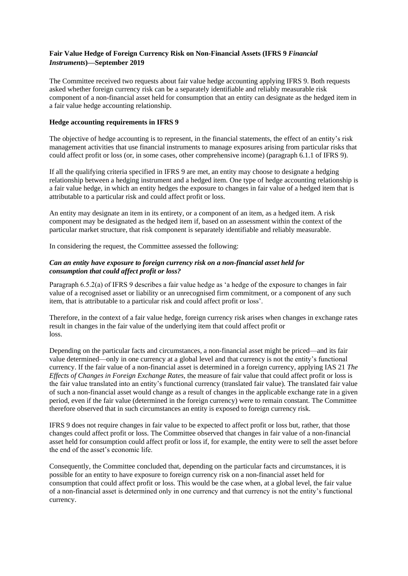# **Fair Value Hedge of Foreign Currency Risk on Non-Financial Assets (IFRS 9** *Financial Instruments***)—September 2019**

The Committee received two requests about fair value hedge accounting applying IFRS 9. Both requests asked whether foreign currency risk can be a separately identifiable and reliably measurable risk component of a non-financial asset held for consumption that an entity can designate as the hedged item in a fair value hedge accounting relationship.

### **Hedge accounting requirements in IFRS 9**

The objective of hedge accounting is to represent, in the financial statements, the effect of an entity's risk management activities that use financial instruments to manage exposures arising from particular risks that could affect profit or loss (or, in some cases, other comprehensive income) (paragraph 6.1.1 of IFRS 9).

If all the qualifying criteria specified in IFRS 9 are met, an entity may choose to designate a hedging relationship between a hedging instrument and a hedged item. One type of hedge accounting relationship is a fair value hedge, in which an entity hedges the exposure to changes in fair value of a hedged item that is attributable to a particular risk and could affect profit or loss.

An entity may designate an item in its entirety, or a component of an item, as a hedged item. A risk component may be designated as the hedged item if, based on an assessment within the context of the particular market structure, that risk component is separately identifiable and reliably measurable.

In considering the request, the Committee assessed the following:

# *Can an entity have exposure to foreign currency risk on a non-financial asset held for consumption that could affect profit or loss?*

Paragraph 6.5.2(a) of IFRS 9 describes a fair value hedge as 'a hedge of the exposure to changes in fair value of a recognised asset or liability or an unrecognised firm commitment, or a component of any such item, that is attributable to a particular risk and could affect profit or loss'.

Therefore, in the context of a fair value hedge, foreign currency risk arises when changes in exchange rates result in changes in the fair value of the underlying item that could affect profit or loss.

Depending on the particular facts and circumstances, a non-financial asset might be priced—and its fair value determined—only in one currency at a global level and that currency is not the entity's functional currency. If the fair value of a non-financial asset is determined in a foreign currency, applying IAS 21 *The Effects of Changes in Foreign Exchange Rates*, the measure of fair value that could affect profit or loss is the fair value translated into an entity's functional currency (translated fair value). The translated fair value of such a non-financial asset would change as a result of changes in the applicable exchange rate in a given period, even if the fair value (determined in the foreign currency) were to remain constant. The Committee therefore observed that in such circumstances an entity is exposed to foreign currency risk.

IFRS 9 does not require changes in fair value to be expected to affect profit or loss but, rather, that those changes could affect profit or loss. The Committee observed that changes in fair value of a non-financial asset held for consumption could affect profit or loss if, for example, the entity were to sell the asset before the end of the asset's economic life.

Consequently, the Committee concluded that, depending on the particular facts and circumstances, it is possible for an entity to have exposure to foreign currency risk on a non-financial asset held for consumption that could affect profit or loss. This would be the case when, at a global level, the fair value of a non-financial asset is determined only in one currency and that currency is not the entity's functional currency.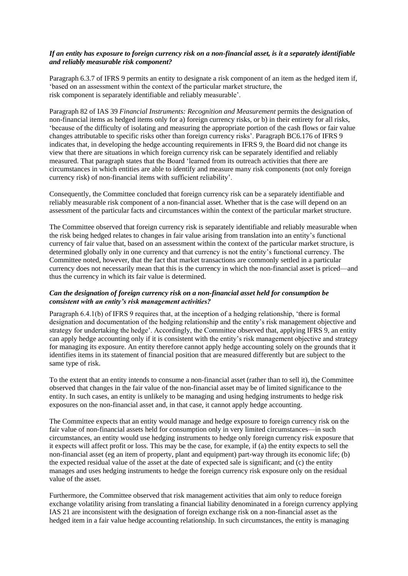# *If an entity has exposure to foreign currency risk on a non-financial asset, is it a separately identifiable and reliably measurable risk component?*

Paragraph 6.3.7 of IFRS 9 permits an entity to designate a risk component of an item as the hedged item if, 'based on an assessment within the context of the particular market structure, the risk component is separately identifiable and reliably measurable'.

Paragraph 82 of IAS 39 *Financial Instruments: Recognition and Measurement* permits the designation of non-financial items as hedged items only for a) foreign currency risks, or b) in their entirety for all risks, 'because of the difficulty of isolating and measuring the appropriate portion of the cash flows or fair value changes attributable to specific risks other than foreign currency risks'. Paragraph BC6.176 of IFRS 9 indicates that, in developing the hedge accounting requirements in IFRS 9, the Board did not change its view that there are situations in which foreign currency risk can be separately identified and reliably measured. That paragraph states that the Board 'learned from its outreach activities that there are circumstances in which entities are able to identify and measure many risk components (not only foreign currency risk) of non-financial items with sufficient reliability'.

Consequently, the Committee concluded that foreign currency risk can be a separately identifiable and reliably measurable risk component of a non-financial asset. Whether that is the case will depend on an assessment of the particular facts and circumstances within the context of the particular market structure.

The Committee observed that foreign currency risk is separately identifiable and reliably measurable when the risk being hedged relates to changes in fair value arising from translation into an entity's functional currency of fair value that, based on an assessment within the context of the particular market structure, is determined globally only in one currency and that currency is not the entity's functional currency. The Committee noted, however, that the fact that market transactions are commonly settled in a particular currency does not necessarily mean that this is the currency in which the non-financial asset is priced—and thus the currency in which its fair value is determined.

### *Can the designation of foreign currency risk on a non-financial asset held for consumption be consistent with an entity's risk management activities?*

Paragraph 6.4.1(b) of IFRS 9 requires that, at the inception of a hedging relationship, 'there is formal designation and documentation of the hedging relationship and the entity's risk management objective and strategy for undertaking the hedge'. Accordingly, the Committee observed that, applying IFRS 9, an entity can apply hedge accounting only if it is consistent with the entity's risk management objective and strategy for managing its exposure. An entity therefore cannot apply hedge accounting solely on the grounds that it identifies items in its statement of financial position that are measured differently but are subject to the same type of risk.

To the extent that an entity intends to consume a non-financial asset (rather than to sell it), the Committee observed that changes in the fair value of the non-financial asset may be of limited significance to the entity. In such cases, an entity is unlikely to be managing and using hedging instruments to hedge risk exposures on the non-financial asset and, in that case, it cannot apply hedge accounting.

The Committee expects that an entity would manage and hedge exposure to foreign currency risk on the fair value of non-financial assets held for consumption only in very limited circumstances—in such circumstances, an entity would use hedging instruments to hedge only foreign currency risk exposure that it expects will affect profit or loss. This may be the case, for example, if (a) the entity expects to sell the non-financial asset (eg an item of property, plant and equipment) part-way through its economic life; (b) the expected residual value of the asset at the date of expected sale is significant; and (c) the entity manages and uses hedging instruments to hedge the foreign currency risk exposure only on the residual value of the asset.

Furthermore, the Committee observed that risk management activities that aim only to reduce foreign exchange volatility arising from translating a financial liability denominated in a foreign currency applying IAS 21 are inconsistent with the designation of foreign exchange risk on a non-financial asset as the hedged item in a fair value hedge accounting relationship. In such circumstances, the entity is managing